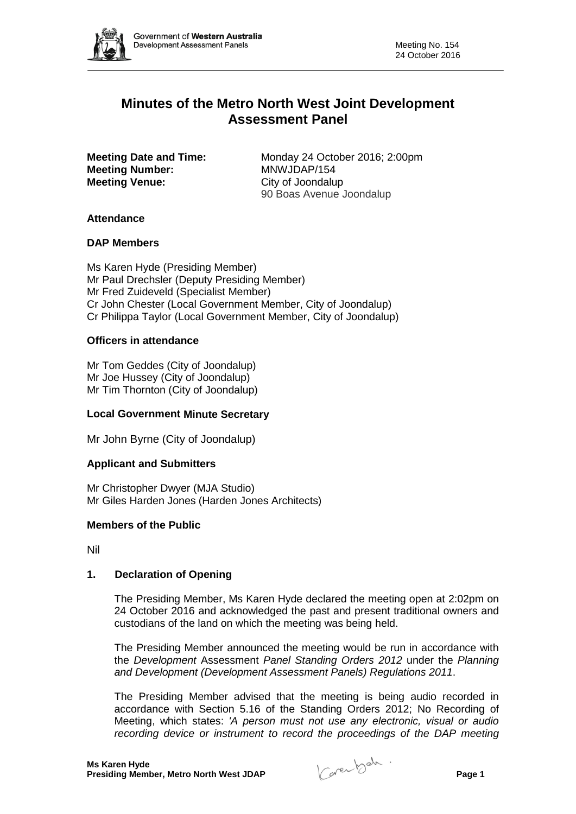

# **Minutes of the Metro North West Joint Development Assessment Panel**

**Meeting Number: Meeting Venue:** City of Joondalup

**Meeting Date and Time:** Monday 24 October 2016; 2:00pm<br>**Meeting Number:** MNWJDAP/154 90 Boas Avenue Joondalup

# **Attendance**

# **DAP Members**

Ms Karen Hyde (Presiding Member) Mr Paul Drechsler (Deputy Presiding Member) Mr Fred Zuideveld (Specialist Member) Cr John Chester (Local Government Member, City of Joondalup) Cr Philippa Taylor (Local Government Member, City of Joondalup)

# **Officers in attendance**

Mr Tom Geddes (City of Joondalup) Mr Joe Hussey (City of Joondalup) Mr Tim Thornton (City of Joondalup)

## **Local Government Minute Secretary**

Mr John Byrne (City of Joondalup)

## **Applicant and Submitters**

Mr Christopher Dwyer (MJA Studio) Mr Giles Harden Jones (Harden Jones Architects)

## **Members of the Public**

Nil

## **1. Declaration of Opening**

The Presiding Member, Ms Karen Hyde declared the meeting open at 2:02pm on 24 October 2016 and acknowledged the past and present traditional owners and custodians of the land on which the meeting was being held.

The Presiding Member announced the meeting would be run in accordance with the *Development* Assessment *Panel Standing Orders 2012* under the *Planning and Development (Development Assessment Panels) Regulations 2011*.

The Presiding Member advised that the meeting is being audio recorded in accordance with Section 5.16 of the Standing Orders 2012; No Recording of Meeting, which states: *'A person must not use any electronic, visual or audio recording device or instrument to record the proceedings of the DAP meeting*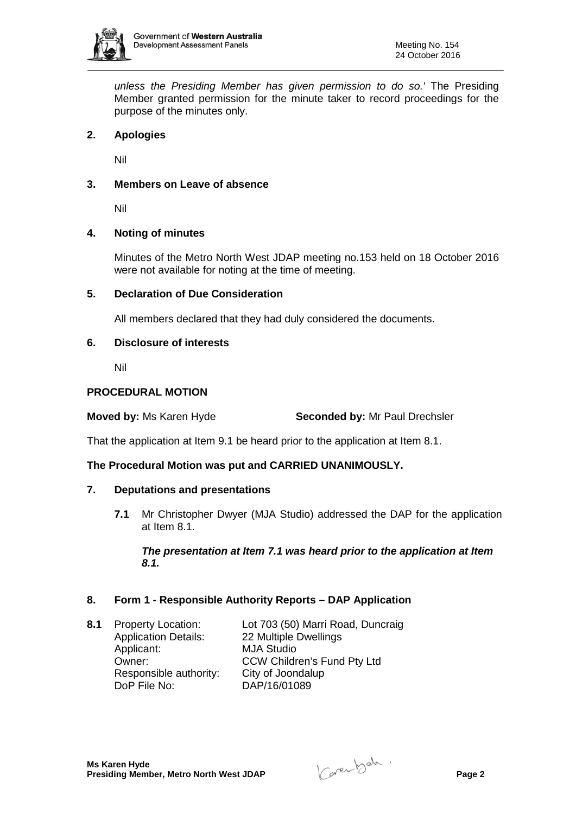

*unless the Presiding Member has given permission to do so.'* The Presiding Member granted permission for the minute taker to record proceedings for the purpose of the minutes only.

# **2. Apologies**

Nil

# **3. Members on Leave of absence**

Nil

## **4. Noting of minutes**

Minutes of the Metro North West JDAP meeting no.153 held on 18 October 2016 were not available for noting at the time of meeting.

## **5. Declaration of Due Consideration**

All members declared that they had duly considered the documents.

## **6. Disclosure of interests**

Nil

### **PROCEDURAL MOTION**

**Moved by:** Ms Karen Hyde **Seconded by:** Mr Paul Drechsler

That the application at Item 9.1 be heard prior to the application at Item 8.1.

## **The Procedural Motion was put and CARRIED UNANIMOUSLY.**

## **7. Deputations and presentations**

**7.1** Mr Christopher Dwyer (MJA Studio) addressed the DAP for the application at Item 8.1.

## *The presentation at Item 7.1 was heard prior to the application at Item 8.1.*

## **8. Form 1 - Responsible Authority Reports – DAP Application**

Application Details: 22 Multiple Dwellings Applicant: MJA Studio<br>
Owner: CCW Childr Responsible authority: City of Joondalup<br>DoP File No: DAP/16/01089

**8.1** Property Location: Lot 703 (50) Marri Road, Duncraig CCW Children's Fund Pty Ltd DAP/16/01089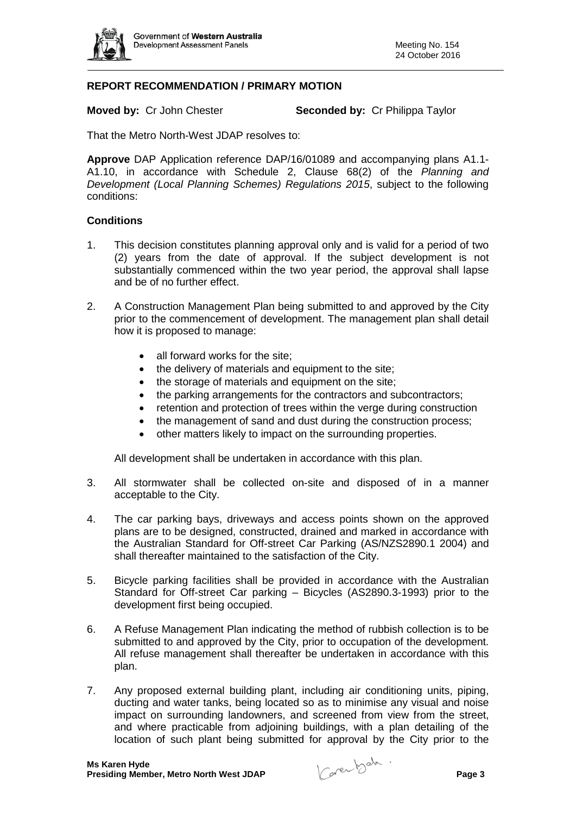

# **REPORT RECOMMENDATION / PRIMARY MOTION**

**Moved by:** Cr John Chester **Seconded by:** Cr Philippa Taylor

That the Metro North-West JDAP resolves to:

**Approve** DAP Application reference DAP/16/01089 and accompanying plans A1.1- A1.10, in accordance with Schedule 2, Clause 68(2) of the *Planning and Development (Local Planning Schemes) Regulations 2015*, subject to the following conditions:

### **Conditions**

- 1. This decision constitutes planning approval only and is valid for a period of two (2) years from the date of approval. If the subject development is not substantially commenced within the two year period, the approval shall lapse and be of no further effect.
- 2. A Construction Management Plan being submitted to and approved by the City prior to the commencement of development. The management plan shall detail how it is proposed to manage:
	- all forward works for the site:
	- the delivery of materials and equipment to the site;
	- the storage of materials and equipment on the site;
	- the parking arrangements for the contractors and subcontractors;
	- retention and protection of trees within the verge during construction
	- the management of sand and dust during the construction process;
	- other matters likely to impact on the surrounding properties.

All development shall be undertaken in accordance with this plan.

- 3. All stormwater shall be collected on-site and disposed of in a manner acceptable to the City.
- 4. The car parking bays, driveways and access points shown on the approved plans are to be designed, constructed, drained and marked in accordance with the Australian Standard for Off-street Car Parking (AS/NZS2890.1 2004) and shall thereafter maintained to the satisfaction of the City.
- 5. Bicycle parking facilities shall be provided in accordance with the Australian Standard for Off-street Car parking – Bicycles (AS2890.3-1993) prior to the development first being occupied.
- 6. A Refuse Management Plan indicating the method of rubbish collection is to be submitted to and approved by the City, prior to occupation of the development. All refuse management shall thereafter be undertaken in accordance with this plan.
- 7. Any proposed external building plant, including air conditioning units, piping, ducting and water tanks, being located so as to minimise any visual and noise impact on surrounding landowners, and screened from view from the street, and where practicable from adjoining buildings, with a plan detailing of the location of such plant being submitted for approval by the City prior to the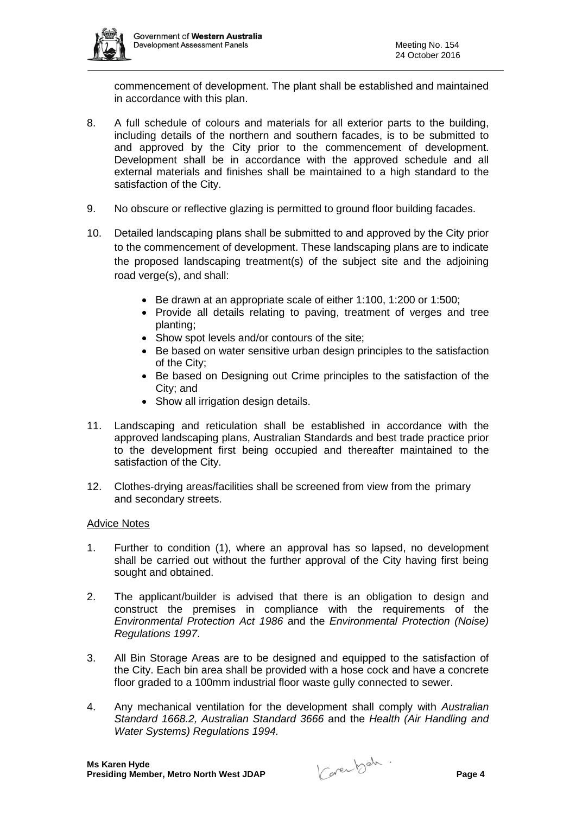

commencement of development. The plant shall be established and maintained in accordance with this plan.

- 8. A full schedule of colours and materials for all exterior parts to the building, including details of the northern and southern facades, is to be submitted to and approved by the City prior to the commencement of development. Development shall be in accordance with the approved schedule and all external materials and finishes shall be maintained to a high standard to the satisfaction of the City.
- 9. No obscure or reflective glazing is permitted to ground floor building facades.
- 10. Detailed landscaping plans shall be submitted to and approved by the City prior to the commencement of development. These landscaping plans are to indicate the proposed landscaping treatment(s) of the subject site and the adjoining road verge(s), and shall:
	- Be drawn at an appropriate scale of either 1:100, 1:200 or 1:500;
	- Provide all details relating to paving, treatment of verges and tree planting;
	- Show spot levels and/or contours of the site;
	- Be based on water sensitive urban design principles to the satisfaction of the City;
	- Be based on Designing out Crime principles to the satisfaction of the City; and
	- Show all irrigation design details.
- 11. Landscaping and reticulation shall be established in accordance with the approved landscaping plans, Australian Standards and best trade practice prior to the development first being occupied and thereafter maintained to the satisfaction of the City.
- 12. Clothes-drying areas/facilities shall be screened from view from the primary and secondary streets.

#### Advice Notes

- 1. Further to condition (1), where an approval has so lapsed, no development shall be carried out without the further approval of the City having first being sought and obtained.
- 2. The applicant/builder is advised that there is an obligation to design and construct the premises in compliance with the requirements of the *Environmental Protection Act 1986* and the *Environmental Protection (Noise) Regulations 1997*.
- 3. All Bin Storage Areas are to be designed and equipped to the satisfaction of the City. Each bin area shall be provided with a hose cock and have a concrete floor graded to a 100mm industrial floor waste gully connected to sewer.
- 4. Any mechanical ventilation for the development shall comply with *Australian Standard 1668.2, Australian Standard 3666* and the *Health (Air Handling and Water Systems) Regulations 1994.*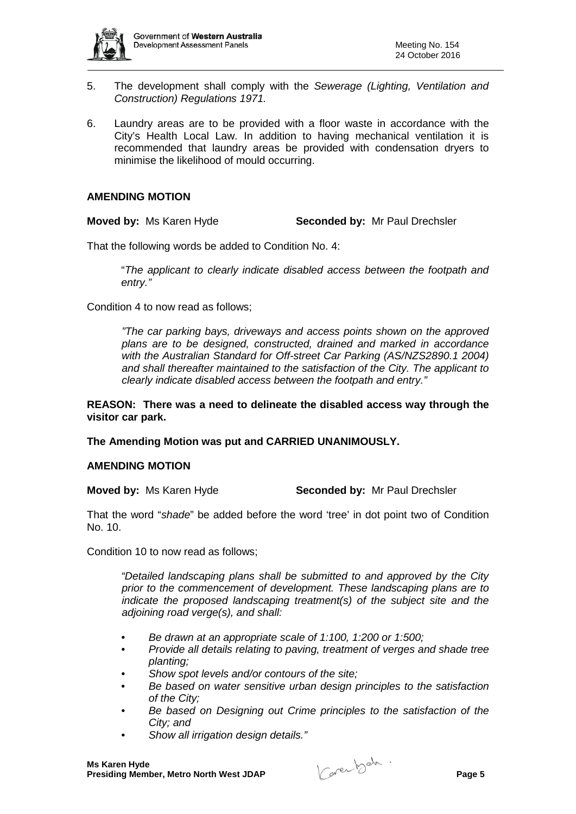

- 5. The development shall comply with the *Sewerage (Lighting, Ventilation and Construction) Regulations 1971.*
- 6. Laundry areas are to be provided with a floor waste in accordance with the City's Health Local Law. In addition to having mechanical ventilation it is recommended that laundry areas be provided with condensation dryers to minimise the likelihood of mould occurring.

### **AMENDING MOTION**

**Moved by:** Ms Karen Hyde **Seconded by:** Mr Paul Drechsler

That the following words be added to Condition No. 4:

"*The applicant to clearly indicate disabled access between the footpath and entry."*

Condition 4 to now read as follows;

*"The car parking bays, driveways and access points shown on the approved plans are to be designed, constructed, drained and marked in accordance with the Australian Standard for Off-street Car Parking (AS/NZS2890.1 2004) and shall thereafter maintained to the satisfaction of the City. The applicant to clearly indicate disabled access between the footpath and entry."*

**REASON: There was a need to delineate the disabled access way through the visitor car park.**

**The Amending Motion was put and CARRIED UNANIMOUSLY.**

### **AMENDING MOTION**

**Moved by:** Ms Karen Hyde **Seconded by:** Mr Paul Drechsler

That the word "*shade*" be added before the word 'tree' in dot point two of Condition No. 10.

Condition 10 to now read as follows;

*"Detailed landscaping plans shall be submitted to and approved by the City prior to the commencement of development. These landscaping plans are to indicate the proposed landscaping treatment(s) of the subject site and the adjoining road verge(s), and shall:*

- *Be drawn at an appropriate scale of 1:100, 1:200 or 1:500;*
- *Provide all details relating to paving, treatment of verges and shade tree planting;*
- *Show spot levels and/or contours of the site;*
- *Be based on water sensitive urban design principles to the satisfaction of the City;*
- *Be based on Designing out Crime principles to the satisfaction of the City; and*
- *Show all irrigation design details."*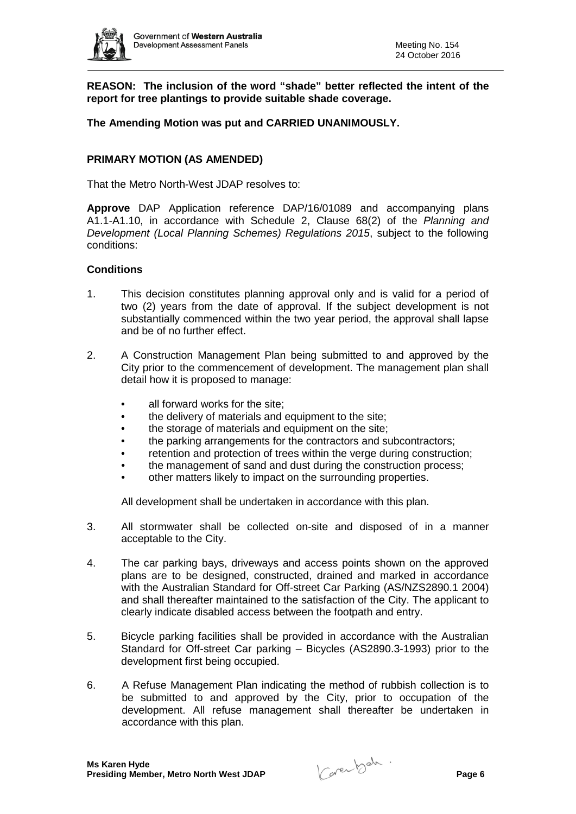

**REASON: The inclusion of the word "shade" better reflected the intent of the report for tree plantings to provide suitable shade coverage.**

## **The Amending Motion was put and CARRIED UNANIMOUSLY.**

## **PRIMARY MOTION (AS AMENDED)**

That the Metro North-West JDAP resolves to:

**Approve** DAP Application reference DAP/16/01089 and accompanying plans A1.1-A1.10, in accordance with Schedule 2, Clause 68(2) of the *Planning and Development (Local Planning Schemes) Regulations 2015*, subject to the following conditions:

## **Conditions**

- 1. This decision constitutes planning approval only and is valid for a period of two (2) years from the date of approval. If the subject development is not substantially commenced within the two year period, the approval shall lapse and be of no further effect.
- 2. A Construction Management Plan being submitted to and approved by the City prior to the commencement of development. The management plan shall detail how it is proposed to manage:
	- all forward works for the site;
	- the delivery of materials and equipment to the site;
	- the storage of materials and equipment on the site;
	- the parking arrangements for the contractors and subcontractors;
	- retention and protection of trees within the verge during construction:
	- the management of sand and dust during the construction process;
	- other matters likely to impact on the surrounding properties.

All development shall be undertaken in accordance with this plan.

- 3. All stormwater shall be collected on-site and disposed of in a manner acceptable to the City.
- 4. The car parking bays, driveways and access points shown on the approved plans are to be designed, constructed, drained and marked in accordance with the Australian Standard for Off-street Car Parking (AS/NZS2890.1 2004) and shall thereafter maintained to the satisfaction of the City. The applicant to clearly indicate disabled access between the footpath and entry.
- 5. Bicycle parking facilities shall be provided in accordance with the Australian Standard for Off-street Car parking – Bicycles (AS2890.3-1993) prior to the development first being occupied.
- 6. A Refuse Management Plan indicating the method of rubbish collection is to be submitted to and approved by the City, prior to occupation of the development. All refuse management shall thereafter be undertaken in accordance with this plan.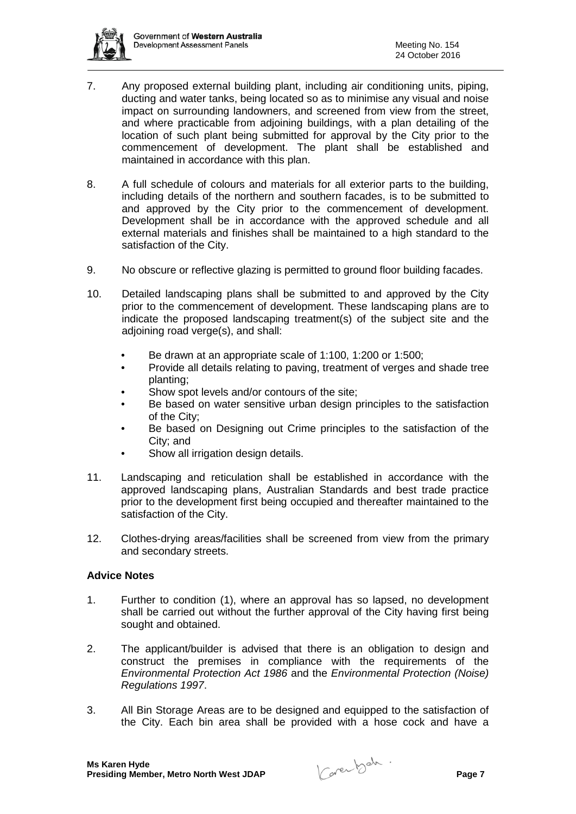

- 7. Any proposed external building plant, including air conditioning units, piping, ducting and water tanks, being located so as to minimise any visual and noise impact on surrounding landowners, and screened from view from the street, and where practicable from adjoining buildings, with a plan detailing of the location of such plant being submitted for approval by the City prior to the commencement of development. The plant shall be established and maintained in accordance with this plan.
- 8. A full schedule of colours and materials for all exterior parts to the building, including details of the northern and southern facades, is to be submitted to and approved by the City prior to the commencement of development. Development shall be in accordance with the approved schedule and all external materials and finishes shall be maintained to a high standard to the satisfaction of the City.
- 9. No obscure or reflective glazing is permitted to ground floor building facades.
- 10. Detailed landscaping plans shall be submitted to and approved by the City prior to the commencement of development. These landscaping plans are to indicate the proposed landscaping treatment(s) of the subject site and the adjoining road verge(s), and shall:
	- Be drawn at an appropriate scale of 1:100, 1:200 or 1:500;
	- Provide all details relating to paving, treatment of verges and shade tree planting;
	- Show spot levels and/or contours of the site;
	- Be based on water sensitive urban design principles to the satisfaction of the City;
	- Be based on Designing out Crime principles to the satisfaction of the City; and
	- Show all irrigation design details.
- 11. Landscaping and reticulation shall be established in accordance with the approved landscaping plans, Australian Standards and best trade practice prior to the development first being occupied and thereafter maintained to the satisfaction of the City.
- 12. Clothes-drying areas/facilities shall be screened from view from the primary and secondary streets.

## **Advice Notes**

- 1. Further to condition (1), where an approval has so lapsed, no development shall be carried out without the further approval of the City having first being sought and obtained.
- 2. The applicant/builder is advised that there is an obligation to design and construct the premises in compliance with the requirements of the *Environmental Protection Act 1986* and the *Environmental Protection (Noise) Regulations 1997*.
- 3. All Bin Storage Areas are to be designed and equipped to the satisfaction of the City. Each bin area shall be provided with a hose cock and have a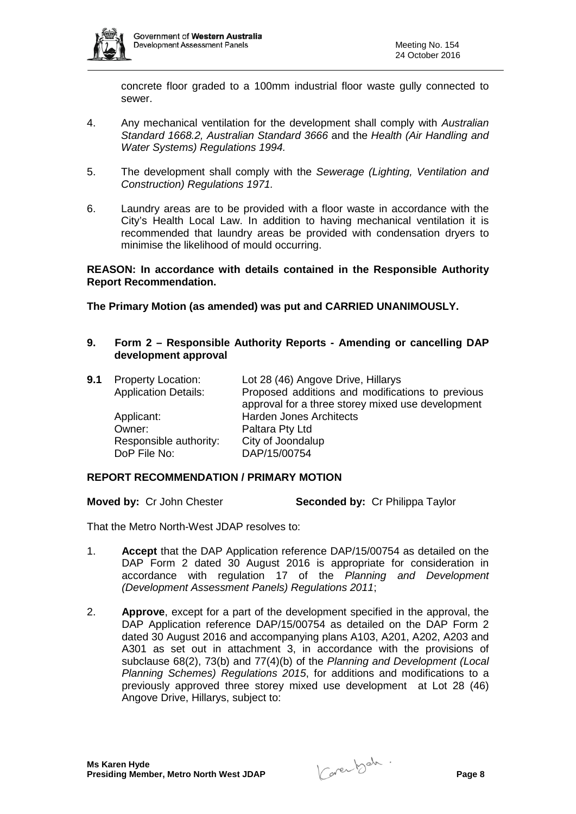

concrete floor graded to a 100mm industrial floor waste gully connected to sewer.

- 4. Any mechanical ventilation for the development shall comply with *Australian Standard 1668.2, Australian Standard 3666* and the *Health (Air Handling and Water Systems) Regulations 1994.*
- 5. The development shall comply with the *Sewerage (Lighting, Ventilation and Construction) Regulations 1971.*
- 6. Laundry areas are to be provided with a floor waste in accordance with the City's Health Local Law. In addition to having mechanical ventilation it is recommended that laundry areas be provided with condensation dryers to minimise the likelihood of mould occurring.

**REASON: In accordance with details contained in the Responsible Authority Report Recommendation.** 

**The Primary Motion (as amended) was put and CARRIED UNANIMOUSLY.**

**9. Form 2 – Responsible Authority Reports - Amending or cancelling DAP development approval**

| <b>9.1</b> Property Location: | Lot 28 (46) Angove Drive, Hillarys                |
|-------------------------------|---------------------------------------------------|
| <b>Application Details:</b>   | Proposed additions and modifications to previous  |
|                               | approval for a three storey mixed use development |
| Applicant:                    | <b>Harden Jones Architects</b>                    |
| Owner:                        | Paltara Pty Ltd                                   |
| Responsible authority:        | City of Joondalup                                 |
| DoP File No:                  | DAP/15/00754                                      |
|                               |                                                   |

#### **REPORT RECOMMENDATION / PRIMARY MOTION**

**Moved by:** Cr John Chester **Seconded by:** Cr Philippa Taylor

That the Metro North-West JDAP resolves to:

- 1. **Accept** that the DAP Application reference DAP/15/00754 as detailed on the DAP Form 2 dated 30 August 2016 is appropriate for consideration in accordance with regulation 17 of the *Planning and Development (Development Assessment Panels) Regulations 2011*;
- 2. **Approve**, except for a part of the development specified in the approval, the DAP Application reference DAP/15/00754 as detailed on the DAP Form 2 dated 30 August 2016 and accompanying plans A103, A201, A202, A203 and A301 as set out in attachment 3, in accordance with the provisions of subclause 68(2), 73(b) and 77(4)(b) of the *Planning and Development (Local Planning Schemes) Regulations 2015*, for additions and modifications to a previously approved three storey mixed use development at Lot 28 (46) Angove Drive, Hillarys, subject to: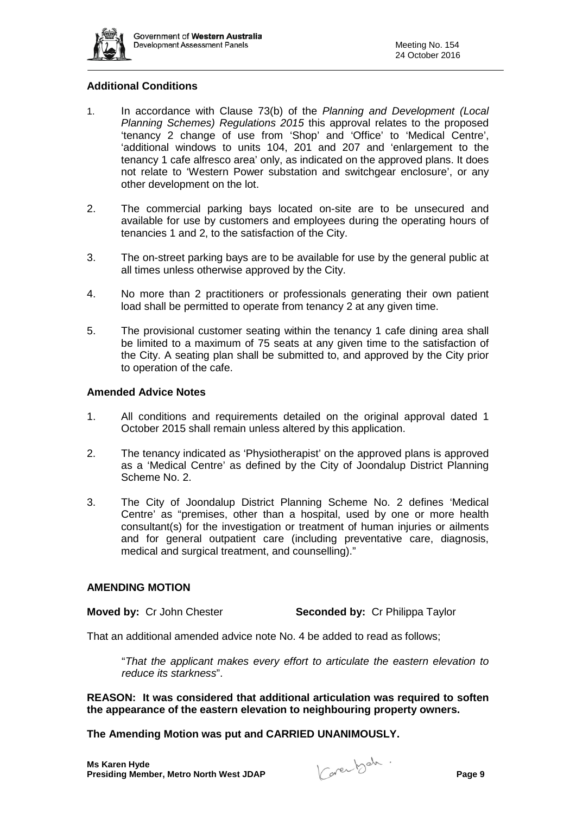

# **Additional Conditions**

- 1. In accordance with Clause 73(b) of the *Planning and Development (Local Planning Schemes) Regulations 2015* this approval relates to the proposed 'tenancy 2 change of use from 'Shop' and 'Office' to 'Medical Centre', 'additional windows to units 104, 201 and 207 and 'enlargement to the tenancy 1 cafe alfresco area' only, as indicated on the approved plans. It does not relate to 'Western Power substation and switchgear enclosure', or any other development on the lot.
- 2. The commercial parking bays located on-site are to be unsecured and available for use by customers and employees during the operating hours of tenancies 1 and 2, to the satisfaction of the City.
- 3. The on-street parking bays are to be available for use by the general public at all times unless otherwise approved by the City.
- 4. No more than 2 practitioners or professionals generating their own patient load shall be permitted to operate from tenancy 2 at any given time.
- 5. The provisional customer seating within the tenancy 1 cafe dining area shall be limited to a maximum of 75 seats at any given time to the satisfaction of the City. A seating plan shall be submitted to, and approved by the City prior to operation of the cafe.

### **Amended Advice Notes**

- 1. All conditions and requirements detailed on the original approval dated 1 October 2015 shall remain unless altered by this application.
- 2. The tenancy indicated as 'Physiotherapist' on the approved plans is approved as a 'Medical Centre' as defined by the City of Joondalup District Planning Scheme No. 2.
- 3. The City of Joondalup District Planning Scheme No. 2 defines 'Medical Centre' as "premises, other than a hospital, used by one or more health consultant(s) for the investigation or treatment of human injuries or ailments and for general outpatient care (including preventative care, diagnosis, medical and surgical treatment, and counselling)."

#### **AMENDING MOTION**

**Moved by:** Cr John Chester **Seconded by:** Cr Philippa Taylor

That an additional amended advice note No. 4 be added to read as follows;

"*That the applicant makes every effort to articulate the eastern elevation to reduce its starkness*".

**REASON: It was considered that additional articulation was required to soften the appearance of the eastern elevation to neighbouring property owners.**

**The Amending Motion was put and CARRIED UNANIMOUSLY.**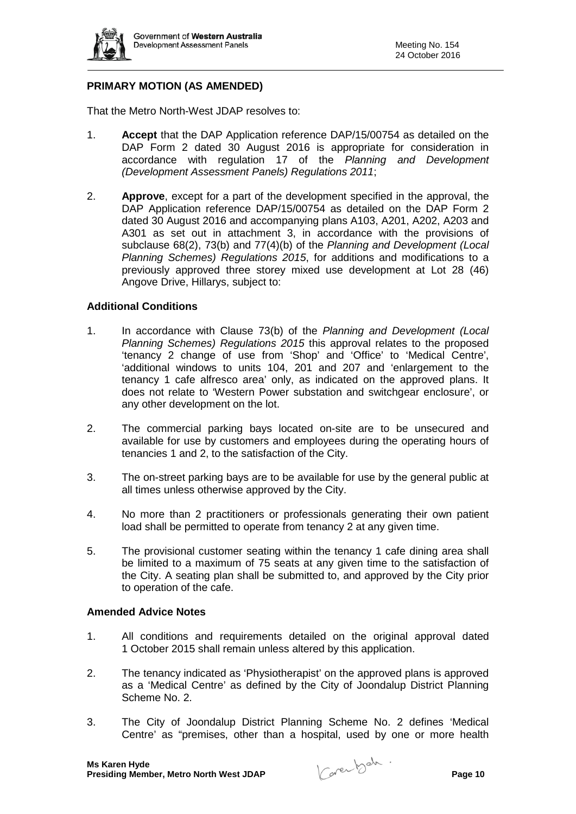

# **PRIMARY MOTION (AS AMENDED)**

That the Metro North-West JDAP resolves to:

- 1. **Accept** that the DAP Application reference DAP/15/00754 as detailed on the DAP Form 2 dated 30 August 2016 is appropriate for consideration in accordance with regulation 17 of the *Planning and Development (Development Assessment Panels) Regulations 2011*;
- 2. **Approve**, except for a part of the development specified in the approval, the DAP Application reference DAP/15/00754 as detailed on the DAP Form 2 dated 30 August 2016 and accompanying plans A103, A201, A202, A203 and A301 as set out in attachment 3, in accordance with the provisions of subclause 68(2), 73(b) and 77(4)(b) of the *Planning and Development (Local Planning Schemes) Regulations 2015*, for additions and modifications to a previously approved three storey mixed use development at Lot 28 (46) Angove Drive, Hillarys, subject to:

### **Additional Conditions**

- 1. In accordance with Clause 73(b) of the *Planning and Development (Local Planning Schemes) Regulations 2015* this approval relates to the proposed 'tenancy 2 change of use from 'Shop' and 'Office' to 'Medical Centre', 'additional windows to units 104, 201 and 207 and 'enlargement to the tenancy 1 cafe alfresco area' only, as indicated on the approved plans. It does not relate to 'Western Power substation and switchgear enclosure', or any other development on the lot.
- 2. The commercial parking bays located on-site are to be unsecured and available for use by customers and employees during the operating hours of tenancies 1 and 2, to the satisfaction of the City.
- 3. The on-street parking bays are to be available for use by the general public at all times unless otherwise approved by the City.
- 4. No more than 2 practitioners or professionals generating their own patient load shall be permitted to operate from tenancy 2 at any given time.
- 5. The provisional customer seating within the tenancy 1 cafe dining area shall be limited to a maximum of 75 seats at any given time to the satisfaction of the City. A seating plan shall be submitted to, and approved by the City prior to operation of the cafe.

#### **Amended Advice Notes**

- 1. All conditions and requirements detailed on the original approval dated 1 October 2015 shall remain unless altered by this application.
- 2. The tenancy indicated as 'Physiotherapist' on the approved plans is approved as a 'Medical Centre' as defined by the City of Joondalup District Planning Scheme No. 2.
- 3. The City of Joondalup District Planning Scheme No. 2 defines 'Medical Centre' as "premises, other than a hospital, used by one or more health